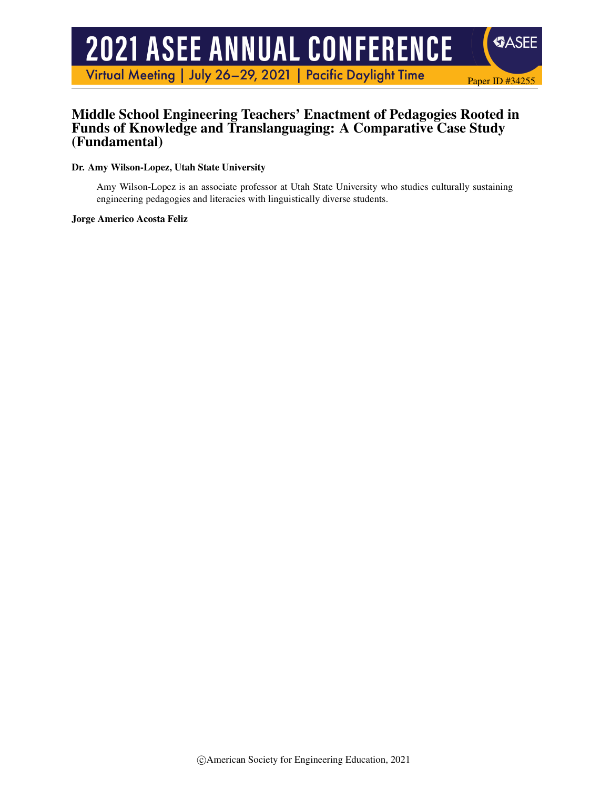# **2021 ASEE ANNUAL CONFERENCE**

Virtual Meeting | July 26-29, 2021 | Pacific Daylight Time

# Middle School Engineering Teachers' Enactment of Pedagogies Rooted in Funds of Knowledge and Translanguaging: A Comparative Case Study (Fundamental)

Paper ID #34255

**SASEE** 

Dr. Amy Wilson-Lopez, Utah State University

Amy Wilson-Lopez is an associate professor at Utah State University who studies culturally sustaining engineering pedagogies and literacies with linguistically diverse students.

Jorge Americo Acosta Feliz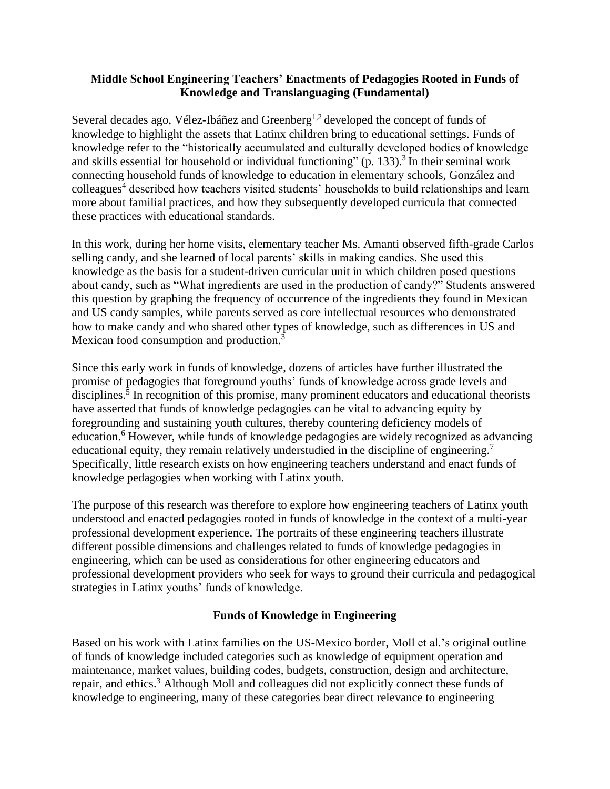### **Middle School Engineering Teachers' Enactments of Pedagogies Rooted in Funds of Knowledge and Translanguaging (Fundamental)**

Several decades ago, Vélez-Ibáñez and Greenberg<sup>1,2</sup> developed the concept of funds of knowledge to highlight the assets that Latinx children bring to educational settings. Funds of knowledge refer to the "historically accumulated and culturally developed bodies of knowledge and skills essential for household or individual functioning" (p. 133).<sup>3</sup> In their seminal work connecting household funds of knowledge to education in elementary schools, González and colleagues<sup>4</sup> described how teachers visited students' households to build relationships and learn more about familial practices, and how they subsequently developed curricula that connected these practices with educational standards.

In this work, during her home visits, elementary teacher Ms. Amanti observed fifth-grade Carlos selling candy, and she learned of local parents' skills in making candies. She used this knowledge as the basis for a student-driven curricular unit in which children posed questions about candy, such as "What ingredients are used in the production of candy?" Students answered this question by graphing the frequency of occurrence of the ingredients they found in Mexican and US candy samples, while parents served as core intellectual resources who demonstrated how to make candy and who shared other types of knowledge, such as differences in US and Mexican food consumption and production.<sup>3</sup>

Since this early work in funds of knowledge, dozens of articles have further illustrated the promise of pedagogies that foreground youths' funds of knowledge across grade levels and disciplines.<sup>5</sup> In recognition of this promise, many prominent educators and educational theorists have asserted that funds of knowledge pedagogies can be vital to advancing equity by foregrounding and sustaining youth cultures, thereby countering deficiency models of education.<sup>6</sup> However, while funds of knowledge pedagogies are widely recognized as advancing educational equity, they remain relatively understudied in the discipline of engineering.<sup>7</sup> Specifically, little research exists on how engineering teachers understand and enact funds of knowledge pedagogies when working with Latinx youth.

The purpose of this research was therefore to explore how engineering teachers of Latinx youth understood and enacted pedagogies rooted in funds of knowledge in the context of a multi-year professional development experience. The portraits of these engineering teachers illustrate different possible dimensions and challenges related to funds of knowledge pedagogies in engineering, which can be used as considerations for other engineering educators and professional development providers who seek for ways to ground their curricula and pedagogical strategies in Latinx youths' funds of knowledge.

## **Funds of Knowledge in Engineering**

Based on his work with Latinx families on the US-Mexico border, Moll et al.'s original outline of funds of knowledge included categories such as knowledge of equipment operation and maintenance, market values, building codes, budgets, construction, design and architecture, repair, and ethics.<sup>3</sup> Although Moll and colleagues did not explicitly connect these funds of knowledge to engineering, many of these categories bear direct relevance to engineering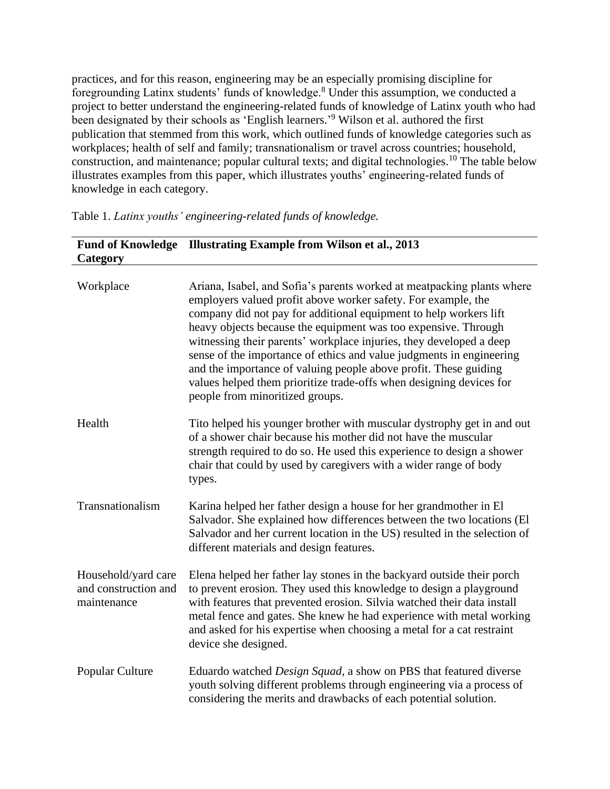practices, and for this reason, engineering may be an especially promising discipline for foregrounding Latinx students' funds of knowledge.<sup>8</sup> Under this assumption, we conducted a project to better understand the engineering-related funds of knowledge of Latinx youth who had been designated by their schools as 'English learners.' <sup>9</sup> Wilson et al. authored the first publication that stemmed from this work, which outlined funds of knowledge categories such as workplaces; health of self and family; transnationalism or travel across countries; household, construction, and maintenance; popular cultural texts; and digital technologies.<sup>10</sup> The table below illustrates examples from this paper, which illustrates youths' engineering-related funds of knowledge in each category.

| Category                                                   | Fund of Knowledge Illustrating Example from Wilson et al., 2013                                                                                                                                                                                                                                                                                                                                                                                                                                                                                                                                             |
|------------------------------------------------------------|-------------------------------------------------------------------------------------------------------------------------------------------------------------------------------------------------------------------------------------------------------------------------------------------------------------------------------------------------------------------------------------------------------------------------------------------------------------------------------------------------------------------------------------------------------------------------------------------------------------|
| Workplace                                                  | Ariana, Isabel, and Sofia's parents worked at meatpacking plants where<br>employers valued profit above worker safety. For example, the<br>company did not pay for additional equipment to help workers lift<br>heavy objects because the equipment was too expensive. Through<br>witnessing their parents' workplace injuries, they developed a deep<br>sense of the importance of ethics and value judgments in engineering<br>and the importance of valuing people above profit. These guiding<br>values helped them prioritize trade-offs when designing devices for<br>people from minoritized groups. |
| Health                                                     | Tito helped his younger brother with muscular dystrophy get in and out<br>of a shower chair because his mother did not have the muscular<br>strength required to do so. He used this experience to design a shower<br>chair that could by used by caregivers with a wider range of body<br>types.                                                                                                                                                                                                                                                                                                           |
| Transnationalism                                           | Karina helped her father design a house for her grandmother in El<br>Salvador. She explained how differences between the two locations (El<br>Salvador and her current location in the US) resulted in the selection of<br>different materials and design features.                                                                                                                                                                                                                                                                                                                                         |
| Household/yard care<br>and construction and<br>maintenance | Elena helped her father lay stones in the backyard outside their porch<br>to prevent erosion. They used this knowledge to design a playground<br>with features that prevented erosion. Silvia watched their data install<br>metal fence and gates. She knew he had experience with metal working<br>and asked for his expertise when choosing a metal for a cat restraint<br>device she designed.                                                                                                                                                                                                           |
| Popular Culture                                            | Eduardo watched <i>Design Squad</i> , a show on PBS that featured diverse<br>youth solving different problems through engineering via a process of<br>considering the merits and drawbacks of each potential solution.                                                                                                                                                                                                                                                                                                                                                                                      |

Table 1. *Latinx youths' engineering-related funds of knowledge.*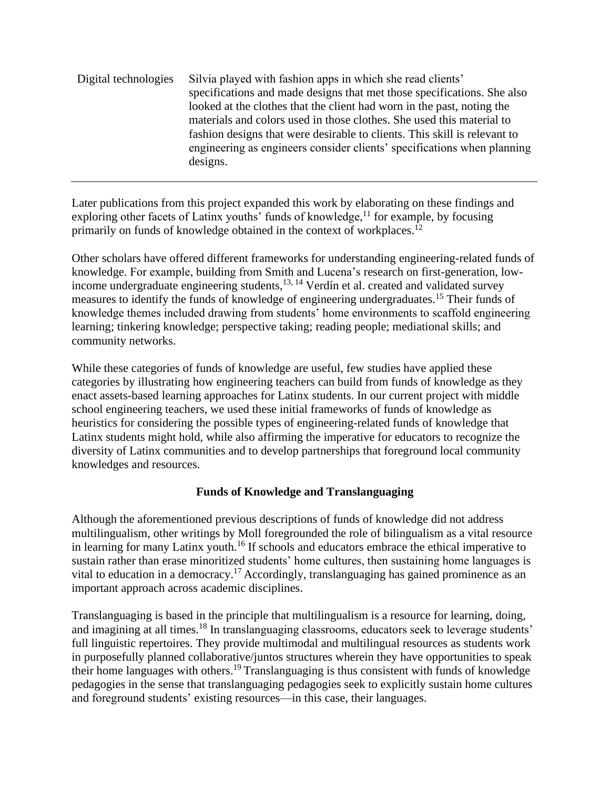Digital technologies Silvia played with fashion apps in which she read clients' specifications and made designs that met those specifications. She also looked at the clothes that the client had worn in the past, noting the materials and colors used in those clothes. She used this material to fashion designs that were desirable to clients. This skill is relevant to engineering as engineers consider clients' specifications when planning designs.

Later publications from this project expanded this work by elaborating on these findings and exploring other facets of Latinx youths' funds of knowledge, $^{11}$  for example, by focusing primarily on funds of knowledge obtained in the context of workplaces.<sup>12</sup>

Other scholars have offered different frameworks for understanding engineering-related funds of knowledge. For example, building from Smith and Lucena's research on first-generation, lowincome undergraduate engineering students,<sup>13, 14</sup> Verdín et al. created and validated survey measures to identify the funds of knowledge of engineering undergraduates.<sup>15</sup> Their funds of knowledge themes included drawing from students' home environments to scaffold engineering learning; tinkering knowledge; perspective taking; reading people; mediational skills; and community networks.

While these categories of funds of knowledge are useful, few studies have applied these categories by illustrating how engineering teachers can build from funds of knowledge as they enact assets-based learning approaches for Latinx students. In our current project with middle school engineering teachers, we used these initial frameworks of funds of knowledge as heuristics for considering the possible types of engineering-related funds of knowledge that Latinx students might hold, while also affirming the imperative for educators to recognize the diversity of Latinx communities and to develop partnerships that foreground local community knowledges and resources.

## **Funds of Knowledge and Translanguaging**

Although the aforementioned previous descriptions of funds of knowledge did not address multilingualism, other writings by Moll foregrounded the role of bilingualism as a vital resource in learning for many Latinx youth.<sup>16</sup> If schools and educators embrace the ethical imperative to sustain rather than erase minoritized students' home cultures, then sustaining home languages is vital to education in a democracy.<sup>17</sup> Accordingly, translanguaging has gained prominence as an important approach across academic disciplines.

Translanguaging is based in the principle that multilingualism is a resource for learning, doing, and imagining at all times.<sup>18</sup> In translanguaging classrooms, educators seek to leverage students' full linguistic repertoires. They provide multimodal and multilingual resources as students work in purposefully planned collaborative/juntos structures wherein they have opportunities to speak their home languages with others.<sup>19</sup> Translanguaging is thus consistent with funds of knowledge pedagogies in the sense that translanguaging pedagogies seek to explicitly sustain home cultures and foreground students' existing resources—in this case, their languages.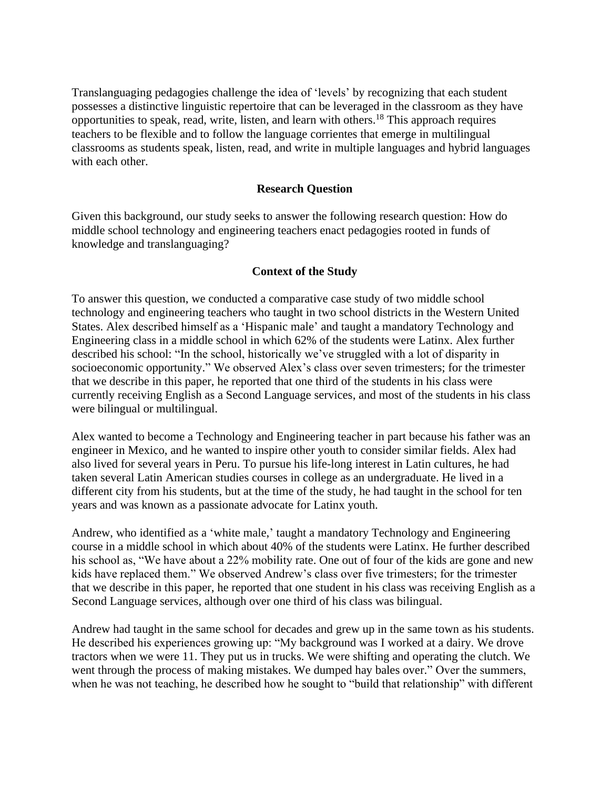Translanguaging pedagogies challenge the idea of 'levels' by recognizing that each student possesses a distinctive linguistic repertoire that can be leveraged in the classroom as they have opportunities to speak, read, write, listen, and learn with others.<sup>18</sup> This approach requires teachers to be flexible and to follow the language corrientes that emerge in multilingual classrooms as students speak, listen, read, and write in multiple languages and hybrid languages with each other.

#### **Research Question**

Given this background, our study seeks to answer the following research question: How do middle school technology and engineering teachers enact pedagogies rooted in funds of knowledge and translanguaging?

#### **Context of the Study**

To answer this question, we conducted a comparative case study of two middle school technology and engineering teachers who taught in two school districts in the Western United States. Alex described himself as a 'Hispanic male' and taught a mandatory Technology and Engineering class in a middle school in which 62% of the students were Latinx. Alex further described his school: "In the school, historically we've struggled with a lot of disparity in socioeconomic opportunity." We observed Alex's class over seven trimesters; for the trimester that we describe in this paper, he reported that one third of the students in his class were currently receiving English as a Second Language services, and most of the students in his class were bilingual or multilingual.

Alex wanted to become a Technology and Engineering teacher in part because his father was an engineer in Mexico, and he wanted to inspire other youth to consider similar fields. Alex had also lived for several years in Peru. To pursue his life-long interest in Latin cultures, he had taken several Latin American studies courses in college as an undergraduate. He lived in a different city from his students, but at the time of the study, he had taught in the school for ten years and was known as a passionate advocate for Latinx youth.

Andrew, who identified as a 'white male,' taught a mandatory Technology and Engineering course in a middle school in which about 40% of the students were Latinx. He further described his school as, "We have about a 22% mobility rate. One out of four of the kids are gone and new kids have replaced them." We observed Andrew's class over five trimesters; for the trimester that we describe in this paper, he reported that one student in his class was receiving English as a Second Language services, although over one third of his class was bilingual.

Andrew had taught in the same school for decades and grew up in the same town as his students. He described his experiences growing up: "My background was I worked at a dairy. We drove tractors when we were 11. They put us in trucks. We were shifting and operating the clutch. We went through the process of making mistakes. We dumped hay bales over." Over the summers, when he was not teaching, he described how he sought to "build that relationship" with different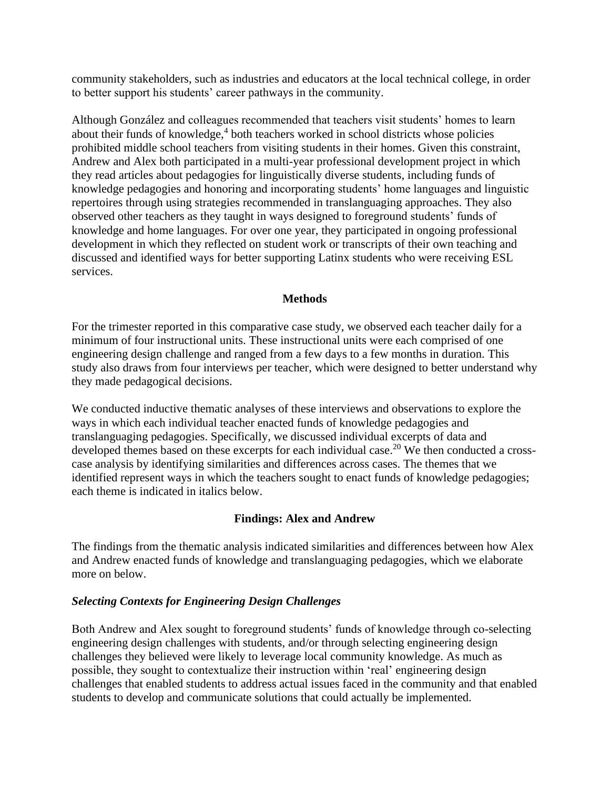community stakeholders, such as industries and educators at the local technical college, in order to better support his students' career pathways in the community.

Although González and colleagues recommended that teachers visit students' homes to learn about their funds of knowledge,<sup>4</sup> both teachers worked in school districts whose policies prohibited middle school teachers from visiting students in their homes. Given this constraint, Andrew and Alex both participated in a multi-year professional development project in which they read articles about pedagogies for linguistically diverse students, including funds of knowledge pedagogies and honoring and incorporating students' home languages and linguistic repertoires through using strategies recommended in translanguaging approaches. They also observed other teachers as they taught in ways designed to foreground students' funds of knowledge and home languages. For over one year, they participated in ongoing professional development in which they reflected on student work or transcripts of their own teaching and discussed and identified ways for better supporting Latinx students who were receiving ESL services.

#### **Methods**

For the trimester reported in this comparative case study, we observed each teacher daily for a minimum of four instructional units. These instructional units were each comprised of one engineering design challenge and ranged from a few days to a few months in duration. This study also draws from four interviews per teacher, which were designed to better understand why they made pedagogical decisions.

We conducted inductive thematic analyses of these interviews and observations to explore the ways in which each individual teacher enacted funds of knowledge pedagogies and translanguaging pedagogies. Specifically, we discussed individual excerpts of data and developed themes based on these excerpts for each individual case.<sup>20</sup> We then conducted a crosscase analysis by identifying similarities and differences across cases. The themes that we identified represent ways in which the teachers sought to enact funds of knowledge pedagogies; each theme is indicated in italics below.

#### **Findings: Alex and Andrew**

The findings from the thematic analysis indicated similarities and differences between how Alex and Andrew enacted funds of knowledge and translanguaging pedagogies, which we elaborate more on below.

#### *Selecting Contexts for Engineering Design Challenges*

Both Andrew and Alex sought to foreground students' funds of knowledge through co-selecting engineering design challenges with students, and/or through selecting engineering design challenges they believed were likely to leverage local community knowledge. As much as possible, they sought to contextualize their instruction within 'real' engineering design challenges that enabled students to address actual issues faced in the community and that enabled students to develop and communicate solutions that could actually be implemented.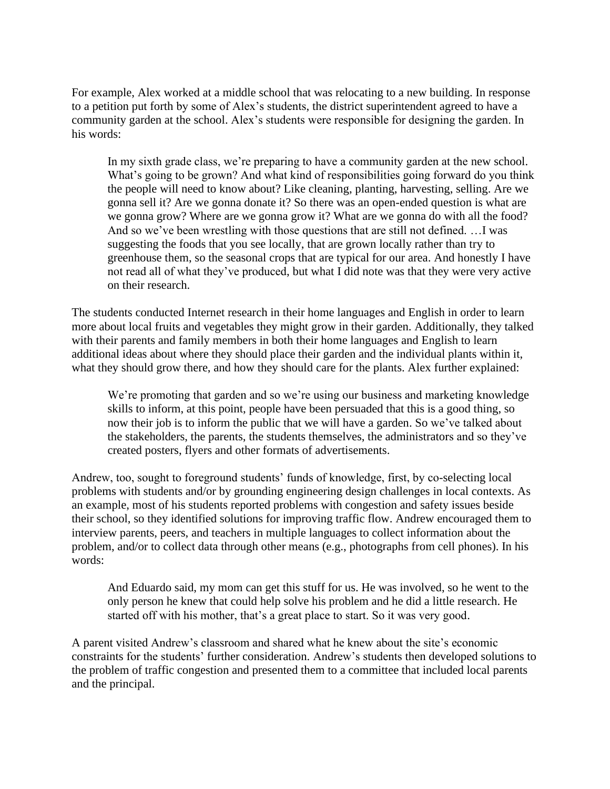For example, Alex worked at a middle school that was relocating to a new building. In response to a petition put forth by some of Alex's students, the district superintendent agreed to have a community garden at the school. Alex's students were responsible for designing the garden. In his words:

In my sixth grade class, we're preparing to have a community garden at the new school. What's going to be grown? And what kind of responsibilities going forward do you think the people will need to know about? Like cleaning, planting, harvesting, selling. Are we gonna sell it? Are we gonna donate it? So there was an open-ended question is what are we gonna grow? Where are we gonna grow it? What are we gonna do with all the food? And so we've been wrestling with those questions that are still not defined. …I was suggesting the foods that you see locally, that are grown locally rather than try to greenhouse them, so the seasonal crops that are typical for our area. And honestly I have not read all of what they've produced, but what I did note was that they were very active on their research.

The students conducted Internet research in their home languages and English in order to learn more about local fruits and vegetables they might grow in their garden. Additionally, they talked with their parents and family members in both their home languages and English to learn additional ideas about where they should place their garden and the individual plants within it, what they should grow there, and how they should care for the plants. Alex further explained:

We're promoting that garden and so we're using our business and marketing knowledge skills to inform, at this point, people have been persuaded that this is a good thing, so now their job is to inform the public that we will have a garden. So we've talked about the stakeholders, the parents, the students themselves, the administrators and so they've created posters, flyers and other formats of advertisements.

Andrew, too, sought to foreground students' funds of knowledge, first, by co-selecting local problems with students and/or by grounding engineering design challenges in local contexts. As an example, most of his students reported problems with congestion and safety issues beside their school, so they identified solutions for improving traffic flow. Andrew encouraged them to interview parents, peers, and teachers in multiple languages to collect information about the problem, and/or to collect data through other means (e.g., photographs from cell phones). In his words:

And Eduardo said, my mom can get this stuff for us. He was involved, so he went to the only person he knew that could help solve his problem and he did a little research. He started off with his mother, that's a great place to start. So it was very good.

A parent visited Andrew's classroom and shared what he knew about the site's economic constraints for the students' further consideration. Andrew's students then developed solutions to the problem of traffic congestion and presented them to a committee that included local parents and the principal.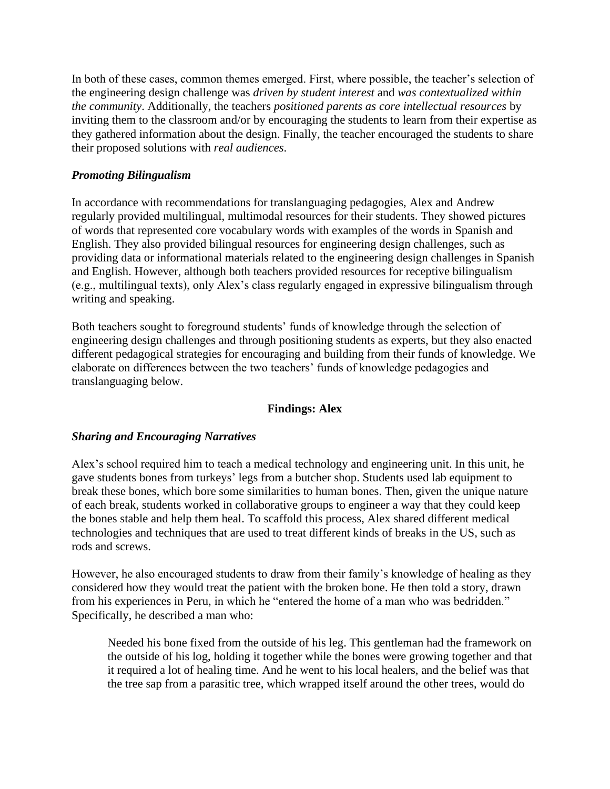In both of these cases, common themes emerged. First, where possible, the teacher's selection of the engineering design challenge was *driven by student interest* and *was contextualized within the community*. Additionally, the teachers *positioned parents as core intellectual resources* by inviting them to the classroom and/or by encouraging the students to learn from their expertise as they gathered information about the design. Finally, the teacher encouraged the students to share their proposed solutions with *real audiences*.

## *Promoting Bilingualism*

In accordance with recommendations for translanguaging pedagogies, Alex and Andrew regularly provided multilingual, multimodal resources for their students. They showed pictures of words that represented core vocabulary words with examples of the words in Spanish and English. They also provided bilingual resources for engineering design challenges, such as providing data or informational materials related to the engineering design challenges in Spanish and English. However, although both teachers provided resources for receptive bilingualism (e.g., multilingual texts), only Alex's class regularly engaged in expressive bilingualism through writing and speaking.

Both teachers sought to foreground students' funds of knowledge through the selection of engineering design challenges and through positioning students as experts, but they also enacted different pedagogical strategies for encouraging and building from their funds of knowledge. We elaborate on differences between the two teachers' funds of knowledge pedagogies and translanguaging below.

## **Findings: Alex**

## *Sharing and Encouraging Narratives*

Alex's school required him to teach a medical technology and engineering unit. In this unit, he gave students bones from turkeys' legs from a butcher shop. Students used lab equipment to break these bones, which bore some similarities to human bones. Then, given the unique nature of each break, students worked in collaborative groups to engineer a way that they could keep the bones stable and help them heal. To scaffold this process, Alex shared different medical technologies and techniques that are used to treat different kinds of breaks in the US, such as rods and screws.

However, he also encouraged students to draw from their family's knowledge of healing as they considered how they would treat the patient with the broken bone. He then told a story, drawn from his experiences in Peru, in which he "entered the home of a man who was bedridden." Specifically, he described a man who:

Needed his bone fixed from the outside of his leg. This gentleman had the framework on the outside of his log, holding it together while the bones were growing together and that it required a lot of healing time. And he went to his local healers, and the belief was that the tree sap from a parasitic tree, which wrapped itself around the other trees, would do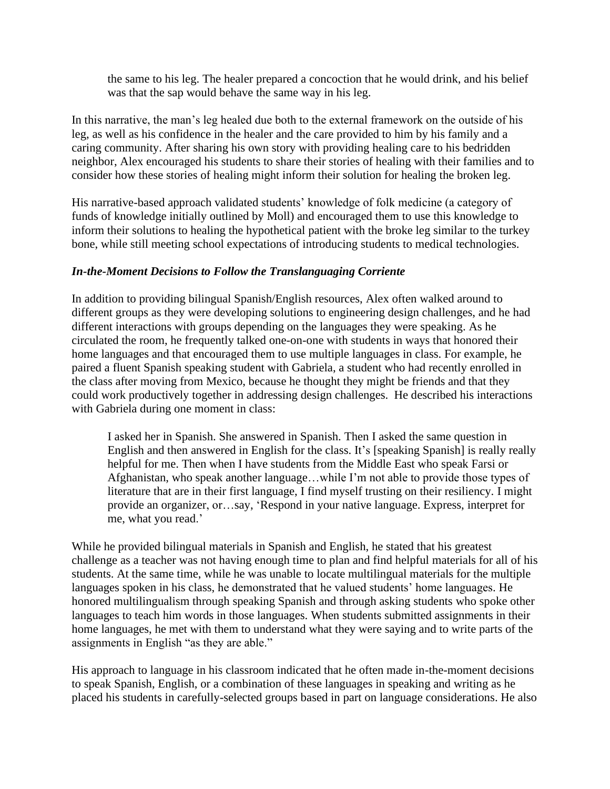the same to his leg. The healer prepared a concoction that he would drink, and his belief was that the sap would behave the same way in his leg.

In this narrative, the man's leg healed due both to the external framework on the outside of his leg, as well as his confidence in the healer and the care provided to him by his family and a caring community. After sharing his own story with providing healing care to his bedridden neighbor, Alex encouraged his students to share their stories of healing with their families and to consider how these stories of healing might inform their solution for healing the broken leg.

His narrative-based approach validated students' knowledge of folk medicine (a category of funds of knowledge initially outlined by Moll) and encouraged them to use this knowledge to inform their solutions to healing the hypothetical patient with the broke leg similar to the turkey bone, while still meeting school expectations of introducing students to medical technologies.

### *In-the-Moment Decisions to Follow the Translanguaging Corriente*

In addition to providing bilingual Spanish/English resources, Alex often walked around to different groups as they were developing solutions to engineering design challenges, and he had different interactions with groups depending on the languages they were speaking. As he circulated the room, he frequently talked one-on-one with students in ways that honored their home languages and that encouraged them to use multiple languages in class. For example, he paired a fluent Spanish speaking student with Gabriela, a student who had recently enrolled in the class after moving from Mexico, because he thought they might be friends and that they could work productively together in addressing design challenges. He described his interactions with Gabriela during one moment in class:

I asked her in Spanish. She answered in Spanish. Then I asked the same question in English and then answered in English for the class. It's [speaking Spanish] is really really helpful for me. Then when I have students from the Middle East who speak Farsi or Afghanistan, who speak another language…while I'm not able to provide those types of literature that are in their first language, I find myself trusting on their resiliency. I might provide an organizer, or…say, 'Respond in your native language. Express, interpret for me, what you read.'

While he provided bilingual materials in Spanish and English, he stated that his greatest challenge as a teacher was not having enough time to plan and find helpful materials for all of his students. At the same time, while he was unable to locate multilingual materials for the multiple languages spoken in his class, he demonstrated that he valued students' home languages. He honored multilingualism through speaking Spanish and through asking students who spoke other languages to teach him words in those languages. When students submitted assignments in their home languages, he met with them to understand what they were saying and to write parts of the assignments in English "as they are able."

His approach to language in his classroom indicated that he often made in-the-moment decisions to speak Spanish, English, or a combination of these languages in speaking and writing as he placed his students in carefully-selected groups based in part on language considerations. He also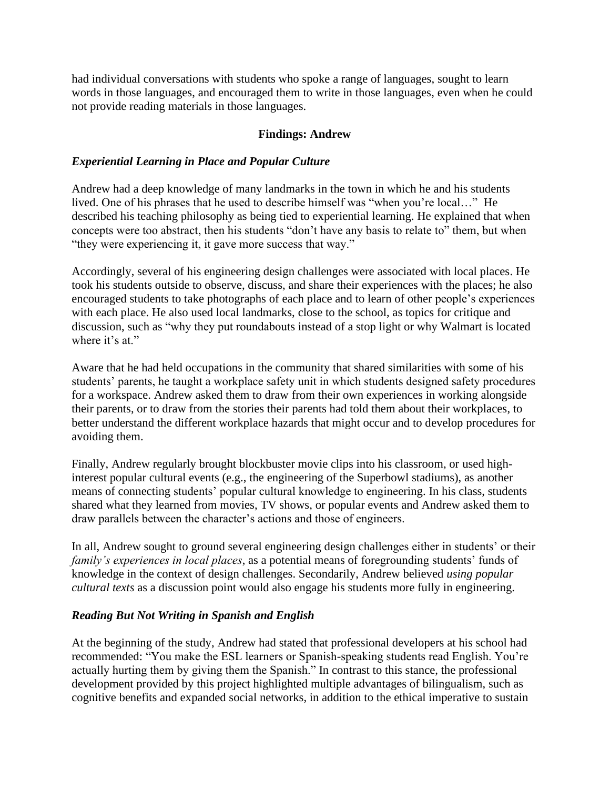had individual conversations with students who spoke a range of languages, sought to learn words in those languages, and encouraged them to write in those languages, even when he could not provide reading materials in those languages.

## **Findings: Andrew**

## *Experiential Learning in Place and Popular Culture*

Andrew had a deep knowledge of many landmarks in the town in which he and his students lived. One of his phrases that he used to describe himself was "when you're local…" He described his teaching philosophy as being tied to experiential learning. He explained that when concepts were too abstract, then his students "don't have any basis to relate to" them, but when "they were experiencing it, it gave more success that way."

Accordingly, several of his engineering design challenges were associated with local places. He took his students outside to observe, discuss, and share their experiences with the places; he also encouraged students to take photographs of each place and to learn of other people's experiences with each place. He also used local landmarks, close to the school, as topics for critique and discussion, such as "why they put roundabouts instead of a stop light or why Walmart is located where it's at."

Aware that he had held occupations in the community that shared similarities with some of his students' parents, he taught a workplace safety unit in which students designed safety procedures for a workspace. Andrew asked them to draw from their own experiences in working alongside their parents, or to draw from the stories their parents had told them about their workplaces, to better understand the different workplace hazards that might occur and to develop procedures for avoiding them.

Finally, Andrew regularly brought blockbuster movie clips into his classroom, or used highinterest popular cultural events (e.g., the engineering of the Superbowl stadiums), as another means of connecting students' popular cultural knowledge to engineering. In his class, students shared what they learned from movies, TV shows, or popular events and Andrew asked them to draw parallels between the character's actions and those of engineers.

In all, Andrew sought to ground several engineering design challenges either in students' or their *family's experiences in local places*, as a potential means of foregrounding students' funds of knowledge in the context of design challenges. Secondarily, Andrew believed *using popular cultural texts* as a discussion point would also engage his students more fully in engineering.

#### *Reading But Not Writing in Spanish and English*

At the beginning of the study, Andrew had stated that professional developers at his school had recommended: "You make the ESL learners or Spanish-speaking students read English. You're actually hurting them by giving them the Spanish." In contrast to this stance, the professional development provided by this project highlighted multiple advantages of bilingualism, such as cognitive benefits and expanded social networks, in addition to the ethical imperative to sustain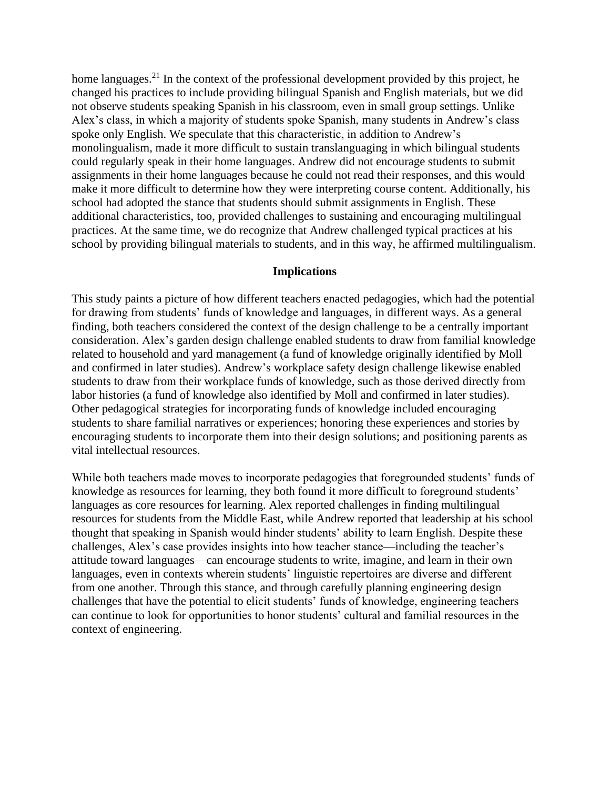home languages.<sup>21</sup> In the context of the professional development provided by this project, he changed his practices to include providing bilingual Spanish and English materials, but we did not observe students speaking Spanish in his classroom, even in small group settings. Unlike Alex's class, in which a majority of students spoke Spanish, many students in Andrew's class spoke only English. We speculate that this characteristic, in addition to Andrew's monolingualism, made it more difficult to sustain translanguaging in which bilingual students could regularly speak in their home languages. Andrew did not encourage students to submit assignments in their home languages because he could not read their responses, and this would make it more difficult to determine how they were interpreting course content. Additionally, his school had adopted the stance that students should submit assignments in English. These additional characteristics, too, provided challenges to sustaining and encouraging multilingual practices. At the same time, we do recognize that Andrew challenged typical practices at his school by providing bilingual materials to students, and in this way, he affirmed multilingualism.

#### **Implications**

This study paints a picture of how different teachers enacted pedagogies, which had the potential for drawing from students' funds of knowledge and languages, in different ways. As a general finding, both teachers considered the context of the design challenge to be a centrally important consideration. Alex's garden design challenge enabled students to draw from familial knowledge related to household and yard management (a fund of knowledge originally identified by Moll and confirmed in later studies). Andrew's workplace safety design challenge likewise enabled students to draw from their workplace funds of knowledge, such as those derived directly from labor histories (a fund of knowledge also identified by Moll and confirmed in later studies). Other pedagogical strategies for incorporating funds of knowledge included encouraging students to share familial narratives or experiences; honoring these experiences and stories by encouraging students to incorporate them into their design solutions; and positioning parents as vital intellectual resources.

While both teachers made moves to incorporate pedagogies that foregrounded students' funds of knowledge as resources for learning, they both found it more difficult to foreground students' languages as core resources for learning. Alex reported challenges in finding multilingual resources for students from the Middle East, while Andrew reported that leadership at his school thought that speaking in Spanish would hinder students' ability to learn English. Despite these challenges, Alex's case provides insights into how teacher stance—including the teacher's attitude toward languages—can encourage students to write, imagine, and learn in their own languages, even in contexts wherein students' linguistic repertoires are diverse and different from one another. Through this stance, and through carefully planning engineering design challenges that have the potential to elicit students' funds of knowledge, engineering teachers can continue to look for opportunities to honor students' cultural and familial resources in the context of engineering.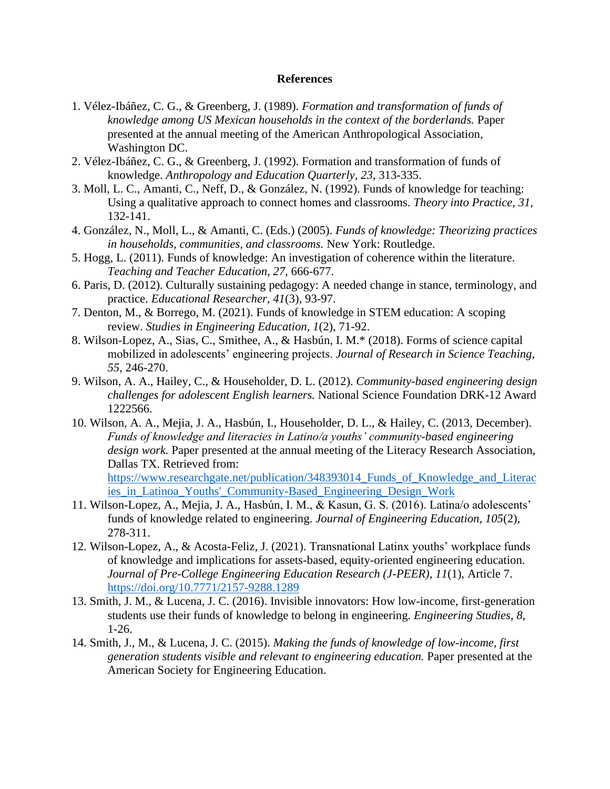#### **References**

- 1. Vélez-Ibáñez, C. G., & Greenberg, J. (1989). *Formation and transformation of funds of knowledge among US Mexican households in the context of the borderlands.* Paper presented at the annual meeting of the American Anthropological Association, Washington DC.
- 2. Vélez-Ibáñez, C. G., & Greenberg, J. (1992). Formation and transformation of funds of knowledge. *Anthropology and Education Quarterly, 23,* 313-335.
- 3. Moll, L. C., Amanti, C., Neff, D., & González, N. (1992). Funds of knowledge for teaching: Using a qualitative approach to connect homes and classrooms. *Theory into Practice, 31,* 132-141.
- 4. González, N., Moll, L., & Amanti, C. (Eds.) (2005). *Funds of knowledge: Theorizing practices in households, communities, and classrooms.* New York: Routledge.
- 5. Hogg, L. (2011). Funds of knowledge: An investigation of coherence within the literature. *Teaching and Teacher Education, 27,* 666-677.
- 6. Paris, D. (2012). Culturally sustaining pedagogy: A needed change in stance, terminology, and practice. *Educational Researcher, 41*(3), 93-97.
- 7. Denton, M., & Borrego, M. (2021). Funds of knowledge in STEM education: A scoping review. *Studies in Engineering Education, 1*(2), 71-92.
- 8. Wilson-Lopez, A., Sias, C., Smithee, A., & Hasbún, I. M.\* (2018). Forms of science capital mobilized in adolescents' engineering projects. *Journal of Research in Science Teaching, 55*, 246-270.
- 9. Wilson, A. A., Hailey, C., & Householder, D. L. (2012). *Community-based engineering design challenges for adolescent English learners.* National Science Foundation DRK-12 Award 1222566.
- 10. Wilson, A. A., Mejia, J. A., Hasbún, I., Householder, D. L., & Hailey, C. (2013, December). *Funds of knowledge and literacies in Latino/a youths' community-based engineering design work.* Paper presented at the annual meeting of the Literacy Research Association, Dallas TX. Retrieved from: [https://www.researchgate.net/publication/348393014\\_Funds\\_of\\_Knowledge\\_and\\_Literac](https://www.researchgate.net/publication/348393014_Funds_of_Knowledge_and_Literacies_in_Latinoa_Youths)
- ies in Latinoa Youths' Community-Based Engineering Design Work 11. Wilson-Lopez, A., Mejia, J. A., Hasbún, I. M., & Kasun, G. S. (2016). Latina/o adolescents' funds of knowledge related to engineering. *Journal of Engineering Education, 105*(2), 278-311.
- 12. Wilson-Lopez, A., & Acosta-Feliz, J. (2021). Transnational Latinx youths' workplace funds of knowledge and implications for assets-based, equity-oriented engineering education. *Journal of Pre-College Engineering Education Research (J-PEER), 11*(1), Article 7. <https://doi.org/10.7771/2157-9288.1289>
- 13. Smith, J. M., & Lucena, J. C. (2016). Invisible innovators: How low-income, first-generation students use their funds of knowledge to belong in engineering. *Engineering Studies, 8,* 1-26.
- 14. Smith, J., M., & Lucena, J. C. (2015). *Making the funds of knowledge of low-income, first generation students visible and relevant to engineering education.* Paper presented at the American Society for Engineering Education.